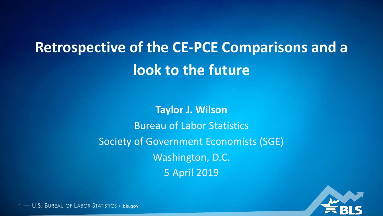# **Retrospective of the CE-PCE Comparisons and a look to the future**

**Taylor J. Wilson** Bureau of Labor Statistics Society of Government Economists (SGE) Washington, D.C. 5 April 2019



1 — U.S. BUREAU OF LABOR STATISTICS • **bls.gov**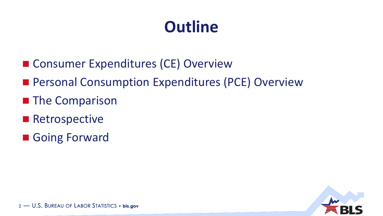- Consumer Expenditures (CE) Overview
- **Personal Consumption Expenditures (PCE) Overview**
- **The Comparison**
- **Retrospective**
- Going Forward

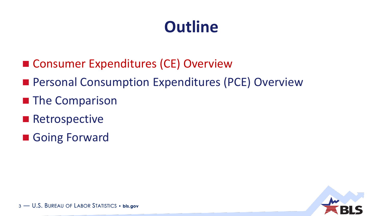- Consumer Expenditures (CE) Overview
- **Personal Consumption Expenditures (PCE) Overview**
- **The Comparison**
- **Retrospective**
- Going Forward

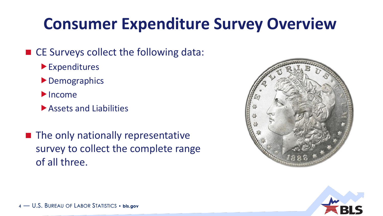## **Consumer Expenditure Survey Overview**

#### ■ CE Surveys collect the following data:

- Expenditures
- **Demographics**
- $\blacktriangleright$  Income
- Assets and Liabilities
- $\blacksquare$  The only nationally representative survey to collect the complete range of all three.



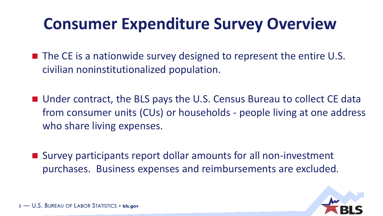### **Consumer Expenditure Survey Overview**

 $\blacksquare$  The CE is a nationwide survey designed to represent the entire U.S. civilian noninstitutionalized population.

■ Under contract, the BLS pays the U.S. Census Bureau to collect CE data from consumer units (CUs) or households - people living at one address who share living expenses.

■ Survey participants report dollar amounts for all non-investment purchases. Business expenses and reimbursements are excluded.

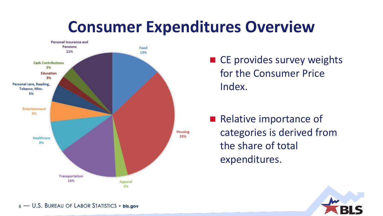### **Consumer Expenditures Overview**



■ CE provides survey weights for the Consumer Price Index.

Relative importance of categories is derived from the share of total expenditures.



6 — U.S. BUREAU OF LABOR STATISTICS • **bls.gov**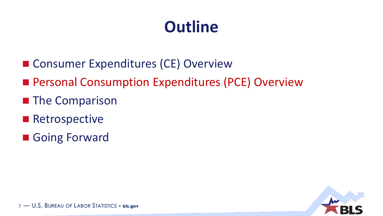- Consumer Expenditures (CE) Overview
- Personal Consumption Expenditures (PCE) Overview
- **The Comparison**
- **Retrospective**
- Going Forward

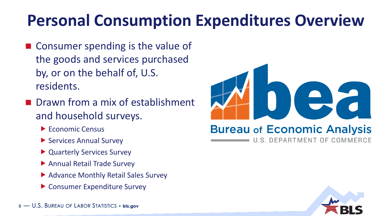## **Personal Consumption Expenditures Overview**

- Consumer spending is the value of the goods and services purchased by, or on the behalf of, U.S. residents.
- **Drawn from a mix of establishment** and household surveys.
	- ▶ Economic Census
	- ▶ Services Annual Survey
	- ▶ Quarterly Services Survey
	- Annual Retail Trade Survey
	- ▶ Advance Monthly Retail Sales Survey
	- ▶ Consumer Expenditure Survey





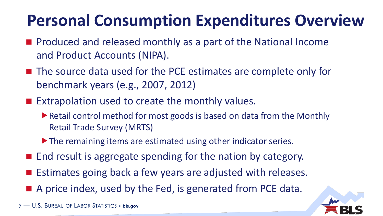# **Personal Consumption Expenditures Overview**

- Produced and released monthly as a part of the National Income and Product Accounts (NIPA).
- The source data used for the PCE estimates are complete only for benchmark years (e.g., 2007, 2012)
- **Extrapolation used to create the monthly values.** 
	- ▶ Retail control method for most goods is based on data from the Monthly Retail Trade Survey (MRTS)
	- ▶ The remaining items are estimated using other indicator series.
- $\blacksquare$  End result is aggregate spending for the nation by category.
- Estimates going back a few years are adjusted with releases.
- A price index, used by the Fed, is generated from PCE data.

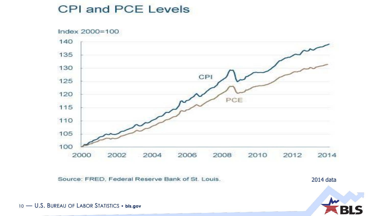#### CPI and PCE Levels



Source: FRED, Federal Reserve Bank of St. Louis.

2014 data



— U.S. BUREAU OF LABOR STATISTICS • **bls.gov**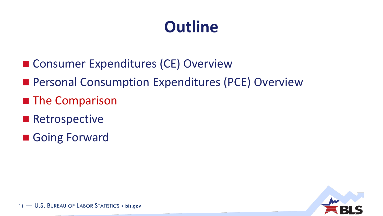- Consumer Expenditures (CE) Overview
- **Personal Consumption Expenditures (PCE) Overview**
- **The Comparison**
- **Retrospective**
- Going Forward

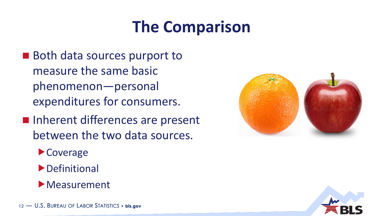### **The Comparison**

- Both data sources purport to measure the same basic phenomenon—personal expenditures for consumers.
- **Inherent differences are present** between the two data sources.
	- Coverage
	- **Definitional**
	- Measurement



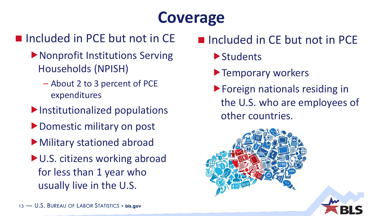# **Coverage**

### Included in PCE but not in CE

- Nonprofit Institutions Serving Households (NPISH)
	- About 2 to 3 percent of PCE expenditures
- Institutionalized populations
- ▶ Domestic military on post
- Military stationed abroad
- ▶ U.S. citizens working abroad for less than 1 year who usually live in the U.S.

### Included in CE but not in PCE

- **Students**
- **Temporary workers**
- Foreign nationals residing in the U.S. who are employees of other countries.

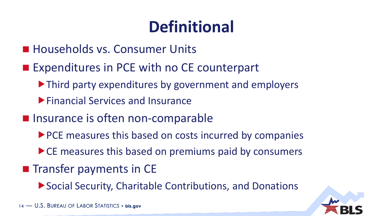# **Definitional**

- **Households vs. Consumer Units**
- **Expenditures in PCE with no CE counterpart** 
	- ▶ Third party expenditures by government and employers
	- Financial Services and Insurance
- **Insurance is often non-comparable** 
	- ▶ PCE measures this based on costs incurred by companies
	- ▶ CE measures this based on premiums paid by consumers
- $\blacksquare$  Transfer payments in CE
	- ▶ Social Security, Charitable Contributions, and Donations

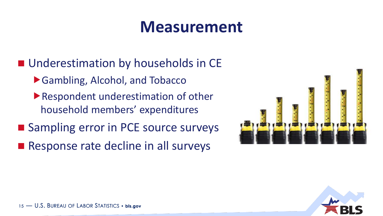### **Measurement**

**Underestimation by households in CE** 

- ▶ Gambling, Alcohol, and Tobacco
- ▶ Respondent underestimation of other household members' expenditures
- Sampling error in PCE source surveys
- Response rate decline in all surveys



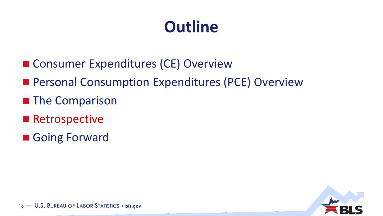- Consumer Expenditures (CE) Overview
- **Personal Consumption Expenditures (PCE) Overview**
- **The Comparison**
- **Retrospective**
- Going Forward

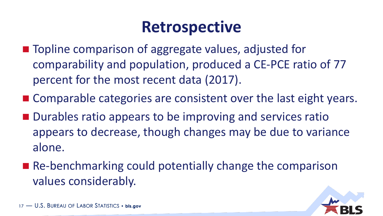### **Retrospective**

- Topline comparison of aggregate values, adjusted for comparability and population, produced a CE-PCE ratio of 77 percent for the most recent data (2017).
- Comparable categories are consistent over the last eight years.
- **Durables ratio appears to be improving and services ratio** appears to decrease, though changes may be due to variance alone.
- Re-benchmarking could potentially change the comparison values considerably.

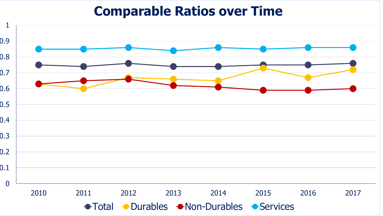#### **Comparable Ratios over Time**

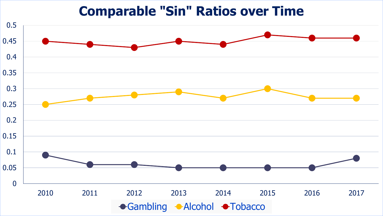#### **Comparable "Sin" Ratios over Time**

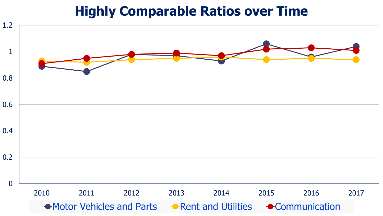#### **Highly Comparable Ratios over Time**

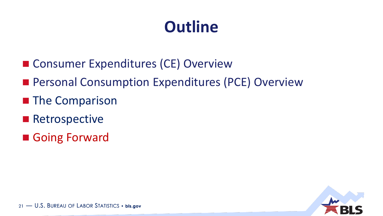- Consumer Expenditures (CE) Overview
- **Personal Consumption Expenditures (PCE) Overview**
- **The Comparison**
- **Retrospective**
- Going Forward

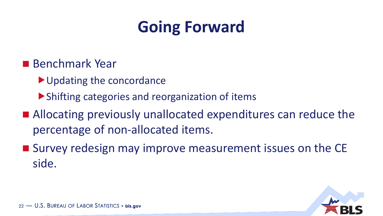### **Going Forward**

- **Benchmark Year** 
	- Updating the concordance
	- Shifting categories and reorganization of items
- Allocating previously unallocated expenditures can reduce the percentage of non-allocated items.
- Survey redesign may improve measurement issues on the CE side.